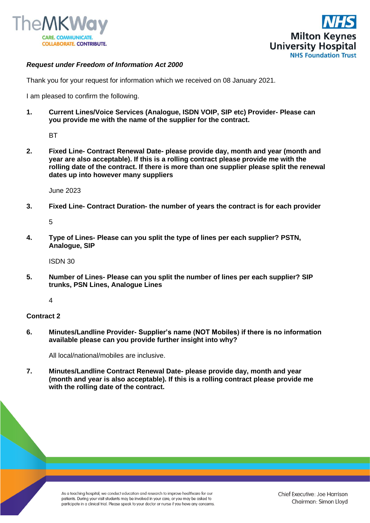



## *Request under Freedom of Information Act 2000*

Thank you for your request for information which we received on 08 January 2021.

I am pleased to confirm the following.

**1. Current Lines/Voice Services (Analogue, ISDN VOIP, SIP etc) Provider- Please can you provide me with the name of the supplier for the contract.**

**BT** 

**2. Fixed Line- Contract Renewal Date- please provide day, month and year (month and year are also acceptable). If this is a rolling contract please provide me with the rolling date of the contract. If there is more than one supplier please split the renewal dates up into however many suppliers**

June 2023

**3. Fixed Line- Contract Duration- the number of years the contract is for each provider**

5

**4. Type of Lines- Please can you split the type of lines per each supplier? PSTN, Analogue, SIP**

ISDN 30

**5. Number of Lines- Please can you split the number of lines per each supplier? SIP trunks, PSN Lines, Analogue Lines**

4

## **Contract 2**

**6. Minutes/Landline Provider- Supplier's name (NOT Mobiles) if there is no information available please can you provide further insight into why?**

All local/national/mobiles are inclusive.

**7. Minutes/Landline Contract Renewal Date- please provide day, month and year (month and year is also acceptable). If this is a rolling contract please provide me with the rolling date of the contract.**

> As a teaching hospital, we conduct education and research to improve healthcare for our patients. During your visit students may be involved in your care, or you may be asked to participate in a clinical trial. Please speak to your doctor or nurse if you have any concerns.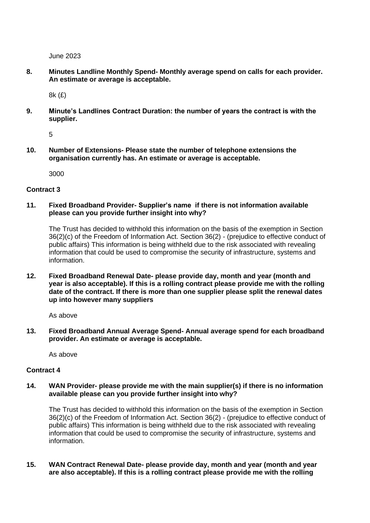June 2023

**8. Minutes Landline Monthly Spend- Monthly average spend on calls for each provider. An estimate or average is acceptable.**

8k (£)

**9. Minute's Landlines Contract Duration: the number of years the contract is with the supplier.**

5

**10. Number of Extensions- Please state the number of telephone extensions the organisation currently has. An estimate or average is acceptable.**

3000

## **Contract 3**

**11. Fixed Broadband Provider- Supplier's name if there is not information available please can you provide further insight into why?**

The Trust has decided to withhold this information on the basis of the exemption in Section 36(2)(c) of the Freedom of Information Act. Section 36(2) - (prejudice to effective conduct of public affairs) This information is being withheld due to the risk associated with revealing information that could be used to compromise the security of infrastructure, systems and information.

**12. Fixed Broadband Renewal Date- please provide day, month and year (month and year is also acceptable). If this is a rolling contract please provide me with the rolling date of the contract. If there is more than one supplier please split the renewal dates up into however many suppliers**

As above

**13. Fixed Broadband Annual Average Spend- Annual average spend for each broadband provider. An estimate or average is acceptable.**

As above

## **Contract 4**

**14. WAN Provider- please provide me with the main supplier(s) if there is no information available please can you provide further insight into why?**

The Trust has decided to withhold this information on the basis of the exemption in Section 36(2)(c) of the Freedom of Information Act. Section 36(2) - (prejudice to effective conduct of public affairs) This information is being withheld due to the risk associated with revealing information that could be used to compromise the security of infrastructure, systems and information.

**15. WAN Contract Renewal Date- please provide day, month and year (month and year are also acceptable). If this is a rolling contract please provide me with the rolling**